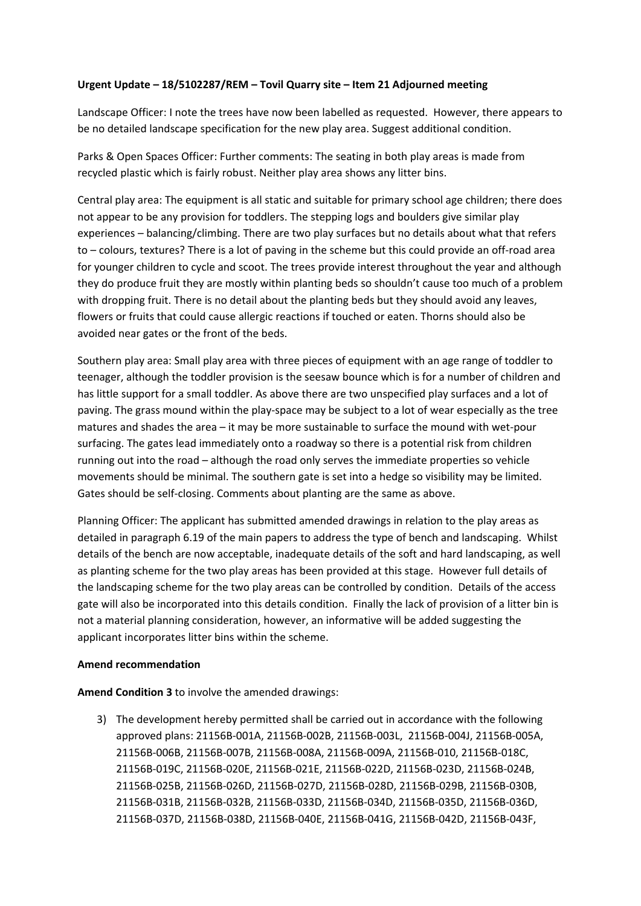## **Urgent Update – 18/5102287/REM – Tovil Quarry site – Item 21 Adjourned meeting**

Landscape Officer: I note the trees have now been labelled as requested. However, there appears to be no detailed landscape specification for the new play area. Suggest additional condition.

Parks & Open Spaces Officer: Further comments: The seating in both play areas is made from recycled plastic which is fairly robust. Neither play area shows any litter bins.

Central play area: The equipment is all static and suitable for primary school age children; there does not appear to be any provision for toddlers. The stepping logs and boulders give similar play experiences – balancing/climbing. There are two play surfaces but no details about what that refers to – colours, textures? There is a lot of paving in the scheme but this could provide an off-road area for younger children to cycle and scoot. The trees provide interest throughout the year and although they do produce fruit they are mostly within planting beds so shouldn't cause too much of a problem with dropping fruit. There is no detail about the planting beds but they should avoid any leaves, flowers or fruits that could cause allergic reactions if touched or eaten. Thorns should also be avoided near gates or the front of the beds.

Southern play area: Small play area with three pieces of equipment with an age range of toddler to teenager, although the toddler provision is the seesaw bounce which is for a number of children and has little support for a small toddler. As above there are two unspecified play surfaces and a lot of paving. The grass mound within the play-space may be subject to a lot of wear especially as the tree matures and shades the area – it may be more sustainable to surface the mound with wet-pour surfacing. The gates lead immediately onto a roadway so there is a potential risk from children running out into the road – although the road only serves the immediate properties so vehicle movements should be minimal. The southern gate is set into a hedge so visibility may be limited. Gates should be self-closing. Comments about planting are the same as above.

Planning Officer: The applicant has submitted amended drawings in relation to the play areas as detailed in paragraph 6.19 of the main papers to address the type of bench and landscaping. Whilst details of the bench are now acceptable, inadequate details of the soft and hard landscaping, as well as planting scheme for the two play areas has been provided at this stage. However full details of the landscaping scheme for the two play areas can be controlled by condition. Details of the access gate will also be incorporated into this details condition. Finally the lack of provision of a litter bin is not a material planning consideration, however, an informative will be added suggesting the applicant incorporates litter bins within the scheme.

## **Amend recommendation**

**Amend Condition 3** to involve the amended drawings:

3) The development hereby permitted shall be carried out in accordance with the following approved plans: 21156B-001A, 21156B-002B, 21156B-003L, 21156B-004J, 21156B-005A, 21156B-006B, 21156B-007B, 21156B-008A, 21156B-009A, 21156B-010, 21156B-018C, 21156B-019C, 21156B-020E, 21156B-021E, 21156B-022D, 21156B-023D, 21156B-024B, 21156B-025B, 21156B-026D, 21156B-027D, 21156B-028D, 21156B-029B, 21156B-030B, 21156B-031B, 21156B-032B, 21156B-033D, 21156B-034D, 21156B-035D, 21156B-036D, 21156B-037D, 21156B-038D, 21156B-040E, 21156B-041G, 21156B-042D, 21156B-043F,